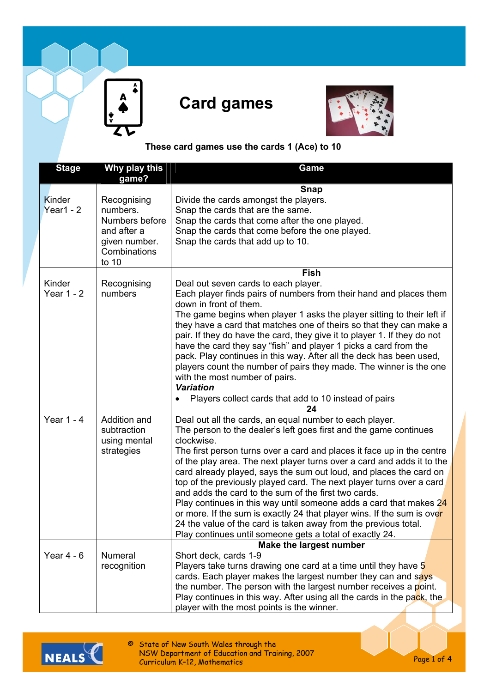



## **These card games use the cards 1 (Ace) to 10**

| <b>Stage</b> | Why play this<br>game?  | Game                                                                                                                                             |
|--------------|-------------------------|--------------------------------------------------------------------------------------------------------------------------------------------------|
|              |                         | <b>Snap</b>                                                                                                                                      |
| Kinder       | Recognising             | Divide the cards amongst the players.                                                                                                            |
| Year1 - $2$  | numbers.                | Snap the cards that are the same.                                                                                                                |
|              | Numbers before          | Snap the cards that come after the one played.                                                                                                   |
|              | and after a             | Snap the cards that come before the one played.                                                                                                  |
|              | given number.           | Snap the cards that add up to 10.                                                                                                                |
|              | Combinations<br>to $10$ |                                                                                                                                                  |
|              |                         | Fish                                                                                                                                             |
| Kinder       | Recognising             | Deal out seven cards to each player.                                                                                                             |
| Year $1 - 2$ | numbers                 | Each player finds pairs of numbers from their hand and places them                                                                               |
|              |                         | down in front of them.                                                                                                                           |
|              |                         | The game begins when player 1 asks the player sitting to their left if                                                                           |
|              |                         | they have a card that matches one of theirs so that they can make a                                                                              |
|              |                         | pair. If they do have the card, they give it to player 1. If they do not                                                                         |
|              |                         | have the card they say "fish" and player 1 picks a card from the                                                                                 |
|              |                         | pack. Play continues in this way. After all the deck has been used,                                                                              |
|              |                         | players count the number of pairs they made. The winner is the one                                                                               |
|              |                         | with the most number of pairs.                                                                                                                   |
|              |                         | <b>Variation</b>                                                                                                                                 |
|              |                         | Players collect cards that add to 10 instead of pairs                                                                                            |
|              |                         | 24                                                                                                                                               |
| Year $1 - 4$ | Addition and            | Deal out all the cards, an equal number to each player.                                                                                          |
|              | subtraction             | The person to the dealer's left goes first and the game continues<br>clockwise.                                                                  |
|              | using mental            |                                                                                                                                                  |
|              | strategies              | The first person turns over a card and places it face up in the centre<br>of the play area. The next player turns over a card and adds it to the |
|              |                         | card already played, says the sum out loud, and places the card on                                                                               |
|              |                         | top of the previously played card. The next player turns over a card                                                                             |
|              |                         | and adds the card to the sum of the first two cards.                                                                                             |
|              |                         | Play continues in this way until someone adds a card that makes $24$                                                                             |
|              |                         | or more. If the sum is exactly 24 that player wins. If the sum is over                                                                           |
|              |                         | 24 the value of the card is taken away from the previous total.                                                                                  |
|              |                         | Play continues until someone gets a total of exactly 24.                                                                                         |
|              |                         | Make the largest number                                                                                                                          |
| Year $4 - 6$ | Numeral                 | Short deck, cards 1-9                                                                                                                            |
|              | recognition             | Players take turns drawing one card at a time until they have 5                                                                                  |
|              |                         | cards. Each player makes the largest number they can and says                                                                                    |
|              |                         | the number. The person with the largest number receives a point.                                                                                 |
|              |                         | Play continues in this way. After using all the cards in the pack, the                                                                           |
|              |                         | player with the most points is the winner.                                                                                                       |



© State of New South Wales through the<br>NSW Department of Education and Training, 2007<br>Curriculum K-12, Mathematics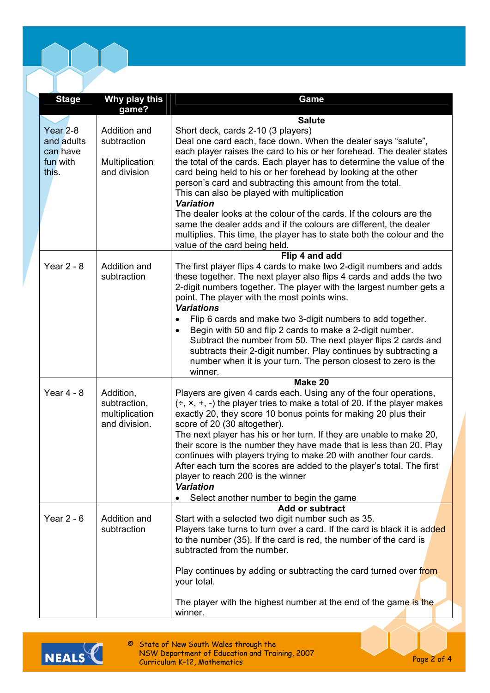| <b>Stage</b>                                  | Why play this<br>game?                                       | Game                                                                                                                                                                                                                                                                                                                                                                                                                                                                                                                                                                                                       |
|-----------------------------------------------|--------------------------------------------------------------|------------------------------------------------------------------------------------------------------------------------------------------------------------------------------------------------------------------------------------------------------------------------------------------------------------------------------------------------------------------------------------------------------------------------------------------------------------------------------------------------------------------------------------------------------------------------------------------------------------|
|                                               |                                                              | <b>Salute</b>                                                                                                                                                                                                                                                                                                                                                                                                                                                                                                                                                                                              |
| Year <sub>2-8</sub><br>and adults<br>can have | Addition and<br>subtraction                                  | Short deck, cards 2-10 (3 players)<br>Deal one card each, face down. When the dealer says "salute",<br>each player raises the card to his or her forehead. The dealer states                                                                                                                                                                                                                                                                                                                                                                                                                               |
| fun with<br>this.                             | Multiplication<br>and division                               | the total of the cards. Each player has to determine the value of the<br>card being held to his or her forehead by looking at the other<br>person's card and subtracting this amount from the total.<br>This can also be played with multiplication<br><b>Variation</b>                                                                                                                                                                                                                                                                                                                                    |
|                                               |                                                              | The dealer looks at the colour of the cards. If the colours are the<br>same the dealer adds and if the colours are different, the dealer<br>multiplies. This time, the player has to state both the colour and the<br>value of the card being held.                                                                                                                                                                                                                                                                                                                                                        |
|                                               |                                                              | Flip 4 and add                                                                                                                                                                                                                                                                                                                                                                                                                                                                                                                                                                                             |
| Year $2 - 8$                                  | Addition and<br>subtraction                                  | The first player flips 4 cards to make two 2-digit numbers and adds<br>these together. The next player also flips 4 cards and adds the two<br>2-digit numbers together. The player with the largest number gets a<br>point. The player with the most points wins.<br><b>Variations</b>                                                                                                                                                                                                                                                                                                                     |
|                                               |                                                              | Flip 6 cards and make two 3-digit numbers to add together.<br>$\bullet$<br>Begin with 50 and flip 2 cards to make a 2-digit number.<br>$\bullet$<br>Subtract the number from 50. The next player flips 2 cards and<br>subtracts their 2-digit number. Play continues by subtracting a<br>number when it is your turn. The person closest to zero is the<br>winner.                                                                                                                                                                                                                                         |
|                                               |                                                              | Make 20                                                                                                                                                                                                                                                                                                                                                                                                                                                                                                                                                                                                    |
| Year $4 - 8$                                  | Addition,<br>subtraction,<br>multiplication<br>and division. | Players are given 4 cards each. Using any of the four operations,<br>$(\div, x, +, -)$ the player tries to make a total of 20. If the player makes<br>exactly 20, they score 10 bonus points for making 20 plus their<br>score of 20 (30 altogether).<br>The next player has his or her turn. If they are unable to make 20,<br>their score is the number they have made that is less than 20. Play<br>continues with players trying to make 20 with another four cards.<br>After each turn the scores are added to the player's total. The first<br>player to reach 200 is the winner<br><b>Variation</b> |
|                                               |                                                              | Select another number to begin the game                                                                                                                                                                                                                                                                                                                                                                                                                                                                                                                                                                    |
| Year $2 - 6$                                  | Addition and<br>subtraction                                  | <b>Add or subtract</b><br>Start with a selected two digit number such as 35.<br>Players take turns to turn over a card. If the card is black it is added<br>to the number (35). If the card is red, the number of the card is<br>subtracted from the number.                                                                                                                                                                                                                                                                                                                                               |
|                                               |                                                              | Play continues by adding or subtracting the card turned over from<br>your total.                                                                                                                                                                                                                                                                                                                                                                                                                                                                                                                           |
|                                               |                                                              | The player with the highest number at the end of the game is the<br>winner.                                                                                                                                                                                                                                                                                                                                                                                                                                                                                                                                |



© State of New South Wales through the<br>NSW Department of Education and Training, 2007<br>Curriculum K-12, Mathematics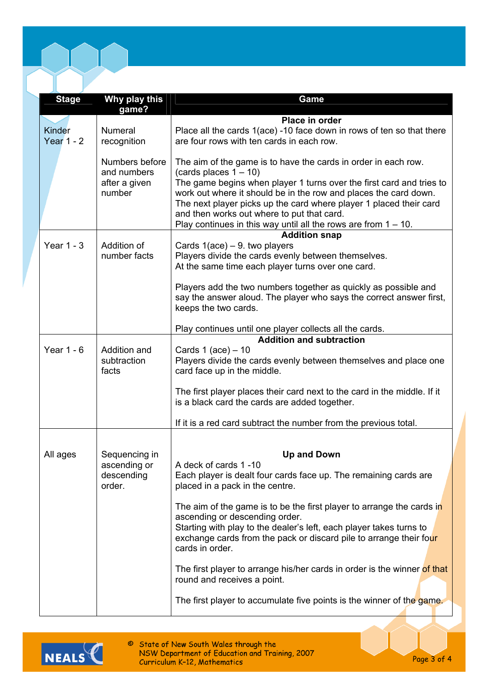| <b>Stage</b>  | Why play this                 | Game                                                                                                                                      |
|---------------|-------------------------------|-------------------------------------------------------------------------------------------------------------------------------------------|
|               | game?                         |                                                                                                                                           |
|               |                               | Place in order                                                                                                                            |
| <b>Kinder</b> | <b>Numeral</b>                | Place all the cards 1(ace) -10 face down in rows of ten so that there                                                                     |
| Year $1 - 2$  | recognition                   | are four rows with ten cards in each row.                                                                                                 |
|               | Numbers before<br>and numbers | The aim of the game is to have the cards in order in each row.<br>(cards places $1 - 10$ )                                                |
|               | after a given                 | The game begins when player 1 turns over the first card and tries to                                                                      |
|               | number                        | work out where it should be in the row and places the card down.<br>The next player picks up the card where player 1 placed their card    |
|               |                               | and then works out where to put that card.<br>Play continues in this way until all the rows are from $1 - 10$ .                           |
|               |                               | <b>Addition snap</b>                                                                                                                      |
| Year $1 - 3$  | Addition of                   | Cards $1(ace) - 9$ . two players                                                                                                          |
|               | number facts                  | Players divide the cards evenly between themselves.                                                                                       |
|               |                               | At the same time each player turns over one card.                                                                                         |
|               |                               | Players add the two numbers together as quickly as possible and                                                                           |
|               |                               | say the answer aloud. The player who says the correct answer first,                                                                       |
|               |                               | keeps the two cards.                                                                                                                      |
|               |                               | Play continues until one player collects all the cards.                                                                                   |
| Year $1 - 6$  | Addition and                  | <b>Addition and subtraction</b><br>Cards $1$ (ace) $-10$                                                                                  |
|               | subtraction                   | Players divide the cards evenly between themselves and place one                                                                          |
|               | facts                         | card face up in the middle.                                                                                                               |
|               |                               | The first player places their card next to the card in the middle. If it                                                                  |
|               |                               | is a black card the cards are added together.                                                                                             |
|               |                               | If it is a red card subtract the number from the previous total.                                                                          |
|               |                               |                                                                                                                                           |
| All ages      | Sequencing in                 | <b>Up and Down</b>                                                                                                                        |
|               | ascending or                  | A deck of cards 1-10                                                                                                                      |
|               | descending<br>order.          | Each player is dealt four cards face up. The remaining cards are<br>placed in a pack in the centre.                                       |
|               |                               | The aim of the game is to be the first player to arrange the cards in                                                                     |
|               |                               | ascending or descending order.                                                                                                            |
|               |                               | Starting with play to the dealer's left, each player takes turns to<br>exchange cards from the pack or discard pile to arrange their four |
|               |                               | cards in order.                                                                                                                           |
|               |                               | The first player to arrange his/her cards in order is the winner of that<br>round and receives a point.                                   |
|               |                               | The first player to accumulate five points is the winner of the game.                                                                     |
|               |                               |                                                                                                                                           |



© State of New South Wales through the<br>NSW Department of Education and Training, 2007<br>Curriculum K-12, Mathematics